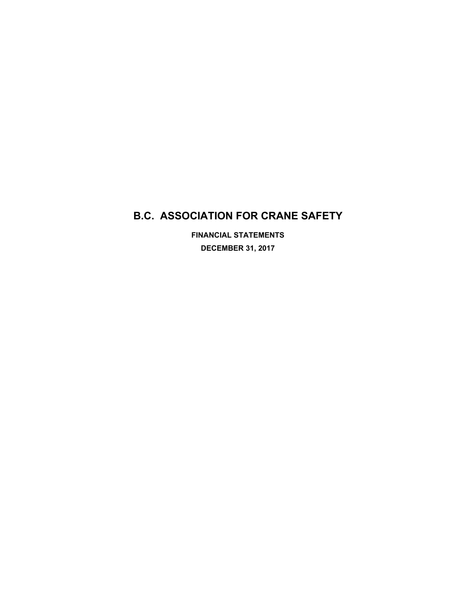# **B.C. ASSOCIATION FOR CRANE SAFETY**

**FINANCIAL STATEMENTS DECEMBER 31, 2017**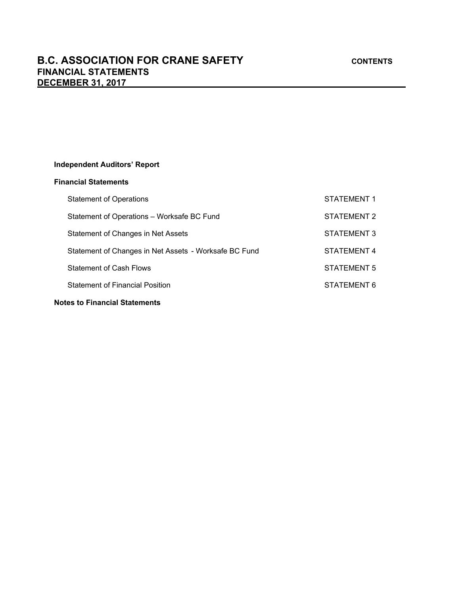# **Independent Auditors' Report**

# **Financial Statements**

| <b>Notes to Financial Statements</b>                  |             |
|-------------------------------------------------------|-------------|
| <b>Statement of Financial Position</b>                | STATEMENT 6 |
| <b>Statement of Cash Flows</b>                        | STATEMENT 5 |
| Statement of Changes in Net Assets - Worksafe BC Fund | STATEMENT 4 |
| Statement of Changes in Net Assets                    | STATEMENT 3 |
| Statement of Operations - Worksafe BC Fund            | STATEMENT 2 |
| <b>Statement of Operations</b>                        | STATEMENT 1 |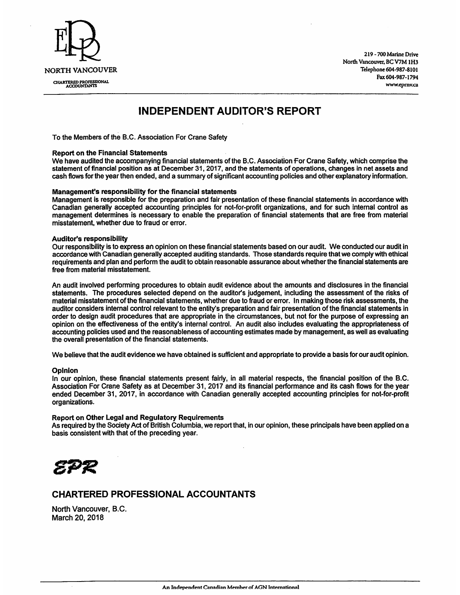

219 - 700 Marine Drive North Vancouver, BC V7M 1H3 Telephone 604-987-8101 Fax 604-987-1794 www.eprnv.ca

# **INDEPENDENT AUDITOR'S REPORT**

To the Members of the B.C. Association For Crane Safety

#### **Report on the Financial Statements**

We have audited the accompanying financial statements of the B.C. Association For Crane Safety, which comprise the statement of financial position as at December 31, 2017, and the statements of operations, changes in net assets and cash flows for the year then ended, and a summary of significant accounting policies and other explanatory information.

#### Management's responsibility for the financial statements

Management is responsible for the preparation and fair presentation of these financial statements in accordance with Canadian generally accepted accounting principles for not-for-profit organizations, and for such internal control as management determines is necessary to enable the preparation of financial statements that are free from material misstatement, whether due to fraud or error.

## Auditor's responsibility

Our responsibility is to express an opinion on these financial statements based on our audit. We conducted our audit in accordance with Canadian generally accepted auditing standards. Those standards require that we comply with ethical requirements and plan and perform the audit to obtain reasonable assurance about whether the financial statements are free from material misstatement.

An audit involved performing procedures to obtain audit evidence about the amounts and disclosures in the financial statements. The procedures selected depend on the auditor's judgement, including the assessment of the risks of material misstatement of the financial statements, whether due to fraud or error. In making those risk assessments, the auditor considers internal control relevant to the entity's preparation and fair presentation of the financial statements in order to design audit procedures that are appropriate in the circumstances, but not for the purpose of expressing an opinion on the effectiveness of the entity's internal control. An audit also includes evaluating the appropriateness of accounting policies used and the reasonableness of accounting estimates made by management, as well as evaluating the overall presentation of the financial statements.

We believe that the audit evidence we have obtained is sufficient and appropriate to provide a basis for our audit opinion.

#### Opinion

In our opinion, these financial statements present fairly, in all material respects, the financial position of the B.C. Association For Crane Safety as at December 31, 2017 and its financial performance and its cash flows for the year ended December 31, 2017, in accordance with Canadian generally accepted accounting principles for not-for-profit organizations.

#### **Report on Other Legal and Regulatory Requirements**

As required by the Society Act of British Columbia, we report that, in our opinion, these principals have been applied on a basis consistent with that of the preceding year.



# **CHARTERED PROFESSIONAL ACCOUNTANTS**

North Vancouver, B.C. March 20, 2018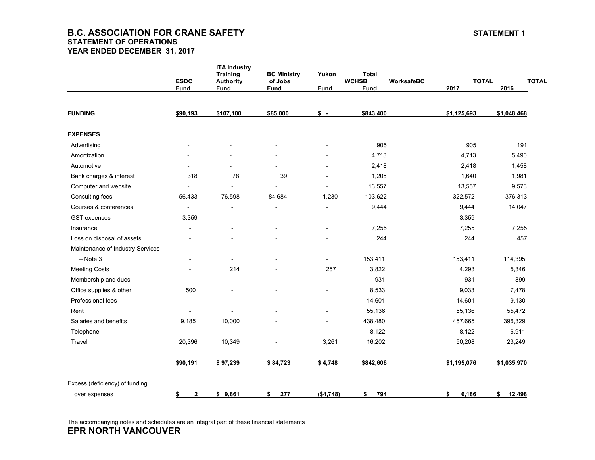# **B.C. ASSOCIATION FOR CRANE SAFETY** STATEMENT 1  **STATEMENT OF OPERATIONS YEAR ENDED DECEMBER 31, 2017**

|                                  | <b>ESDC</b>              | <b>ITA Industry</b><br><b>Training</b><br><b>Authority</b> | <b>BC Ministry</b><br>of Jobs | Yukon                    | <b>Total</b><br><b>WCHSB</b><br>WorksafeBC | <b>TOTAL</b> | <b>TOTAL</b>   |
|----------------------------------|--------------------------|------------------------------------------------------------|-------------------------------|--------------------------|--------------------------------------------|--------------|----------------|
|                                  | <b>Fund</b>              | Fund                                                       | <b>Fund</b>                   | <b>Fund</b>              | <b>Fund</b>                                | 2017         | 2016           |
| <b>FUNDING</b>                   | \$90,193                 | \$107,100                                                  | \$85,000                      | $\mathsf{s}$ .           | \$843,400                                  | \$1,125,693  | \$1,048,468    |
| <b>EXPENSES</b>                  |                          |                                                            |                               |                          |                                            |              |                |
| Advertising                      |                          |                                                            |                               |                          | 905                                        | 905          | 191            |
| Amortization                     |                          |                                                            |                               |                          | 4,713                                      | 4,713        | 5,490          |
| Automotive                       |                          |                                                            |                               |                          | 2,418                                      | 2,418        | 1,458          |
| Bank charges & interest          | 318                      | 78                                                         | 39                            | $\overline{a}$           | 1,205                                      | 1,640        | 1,981          |
| Computer and website             |                          | L,                                                         | $\overline{a}$                | $\overline{a}$           | 13,557                                     | 13,557       | 9,573          |
| Consulting fees                  | 56,433                   | 76,598                                                     | 84,684                        | 1,230                    | 103,622                                    | 322,572      | 376,313        |
| Courses & conferences            | $\blacksquare$           | $\overline{a}$                                             | $\overline{a}$                | $\overline{\phantom{a}}$ | 9,444                                      | 9,444        | 14,047         |
| GST expenses                     | 3,359                    |                                                            | $\overline{a}$                | $\blacksquare$           | $\blacksquare$                             | 3,359        | $\blacksquare$ |
| Insurance                        | $\overline{a}$           | $\overline{a}$                                             | $\overline{a}$                | $\overline{a}$           | 7,255                                      | 7,255        | 7,255          |
| Loss on disposal of assets       |                          |                                                            |                               | $\overline{\phantom{0}}$ | 244                                        | 244          | 457            |
| Maintenance of Industry Services |                          |                                                            |                               |                          |                                            |              |                |
| $-$ Note 3                       |                          | $\overline{a}$                                             |                               | $\overline{a}$           | 153,411                                    | 153,411      | 114,395        |
| <b>Meeting Costs</b>             |                          | 214                                                        |                               | 257                      | 3,822                                      | 4,293        | 5,346          |
| Membership and dues              | $\overline{\phantom{0}}$ |                                                            |                               |                          | 931                                        | 931          | 899            |
| Office supplies & other          | 500                      | $\overline{a}$                                             |                               | $\overline{a}$           | 8,533                                      | 9,033        | 7,478          |
| Professional fees                | $\overline{a}$           |                                                            |                               | $\overline{a}$           | 14,601                                     | 14,601       | 9,130          |
| Rent                             |                          |                                                            |                               |                          | 55,136                                     | 55,136       | 55,472         |
| Salaries and benefits            | 9,185                    | 10,000                                                     |                               | $\overline{a}$           | 438,480                                    | 457,665      | 396,329        |
| Telephone                        | $\overline{a}$           |                                                            |                               | $\overline{a}$           | 8,122                                      | 8,122        | 6,911          |
| Travel                           | 20,396                   | 10,349                                                     |                               | 3,261                    | 16,202                                     | 50,208       | 23,249         |
|                                  | \$90,191                 | \$97,239                                                   | \$84,723                      | \$4,748                  | \$842,606                                  | \$1,195,076  | \$1,035,970    |

The accompanying notes and schedules are an integral part of these financial statements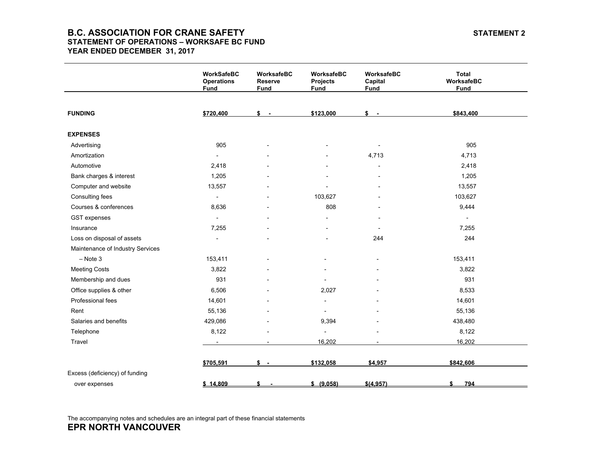# **B.C. ASSOCIATION FOR CRANE SAFETY** STATEMENT 2 **STATEMENT OF OPERATIONS – WORKSAFE BC FUND YEAR ENDED DECEMBER 31, 2017**

|                                  | <b>WorkSafeBC</b><br><b>Operations</b><br><b>Fund</b> | WorksafeBC<br><b>Reserve</b><br><b>Fund</b> | WorksafeBC<br>Projects<br>Fund | WorksafeBC<br>Capital<br><b>Fund</b> | <b>Total</b><br>WorksafeBC<br><b>Fund</b> |
|----------------------------------|-------------------------------------------------------|---------------------------------------------|--------------------------------|--------------------------------------|-------------------------------------------|
| <b>FUNDING</b>                   | \$720,400                                             | $s -$                                       | \$123,000                      | $s -$                                | \$843,400                                 |
| <b>EXPENSES</b>                  |                                                       |                                             |                                |                                      |                                           |
| Advertising                      | 905                                                   |                                             |                                |                                      | 905                                       |
| Amortization                     | ÷                                                     |                                             |                                | 4,713                                | 4,713                                     |
| Automotive                       | 2,418                                                 |                                             |                                |                                      | 2,418                                     |
| Bank charges & interest          | 1,205                                                 |                                             |                                |                                      | 1,205                                     |
| Computer and website             | 13,557                                                |                                             |                                |                                      | 13,557                                    |
| Consulting fees                  | $\overline{a}$                                        |                                             | 103,627                        |                                      | 103,627                                   |
| Courses & conferences            | 8,636                                                 |                                             | 808                            | $\overline{a}$                       | 9,444                                     |
| GST expenses                     | $\blacksquare$                                        |                                             |                                |                                      | $\blacksquare$                            |
| Insurance                        | 7,255                                                 |                                             |                                |                                      | 7,255                                     |
| Loss on disposal of assets       |                                                       |                                             |                                | 244                                  | 244                                       |
| Maintenance of Industry Services |                                                       |                                             |                                |                                      |                                           |
| $-$ Note 3                       | 153,411                                               |                                             |                                |                                      | 153,411                                   |
| <b>Meeting Costs</b>             | 3,822                                                 |                                             |                                |                                      | 3,822                                     |
| Membership and dues              | 931                                                   |                                             |                                |                                      | 931                                       |
| Office supplies & other          | 6,506                                                 |                                             | 2,027                          |                                      | 8,533                                     |
| Professional fees                | 14,601                                                |                                             |                                |                                      | 14,601                                    |
| Rent                             | 55,136                                                |                                             |                                |                                      | 55,136                                    |
| Salaries and benefits            | 429,086                                               |                                             | 9,394                          |                                      | 438,480                                   |
| Telephone                        | 8,122                                                 |                                             |                                |                                      | 8,122                                     |
| Travel                           |                                                       |                                             | 16,202                         |                                      | 16,202                                    |
|                                  | \$705,591                                             | \$<br>$\sim$                                | \$132,058                      | \$4,957                              | \$842,606                                 |
| Excess (deficiency) of funding   |                                                       |                                             |                                |                                      |                                           |
| over expenses                    | \$14,809                                              | \$                                          | \$ (9,058)                     | \$(4,957)                            | 794<br>\$                                 |

The accompanying notes and schedules are an integral part of these financial statements **EPR NORTH VANCOUVER**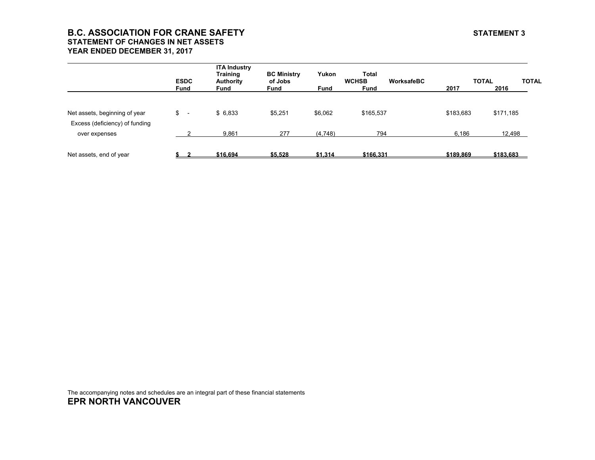# **B.C. ASSOCIATION FOR CRANE SAFETY** STATEMENT 3 **STATEMENT OF CHANGES IN NET ASSETS YEAR ENDED DECEMBER 31, 2017**

|                                                                 | <b>ESDC</b>                    | <b>ITA Industry</b><br><b>Training</b><br><b>Authority</b> | <b>BC Ministry</b><br>of Jobs | Yukon       | <b>Total</b><br><b>WCHSB</b> | WorksafeBC |           | <b>TOTAL</b> | <b>TOTAL</b> |
|-----------------------------------------------------------------|--------------------------------|------------------------------------------------------------|-------------------------------|-------------|------------------------------|------------|-----------|--------------|--------------|
|                                                                 | <b>Fund</b>                    | <b>Fund</b>                                                | <b>Fund</b>                   | <b>Fund</b> | Fund                         |            | 2017      | 2016         |              |
| Net assets, beginning of year<br>Excess (deficiency) of funding | \$<br>$\overline{\phantom{a}}$ | \$6,833                                                    | \$5,251                       | \$6,062     | \$165,537                    |            | \$183,683 | \$171,185    |              |
| over expenses                                                   |                                | 9,861                                                      | 277                           | (4,748)     | 794                          |            | 6,186     | 12,498       |              |

Net assets, end of year **\$2** \$16,694 \$5,528 \$1,314 \$166,331 \$189,869 \$183,683

The accompanying notes and schedules are an integral part of these financial statements **EPR NORTH VANCOUVER**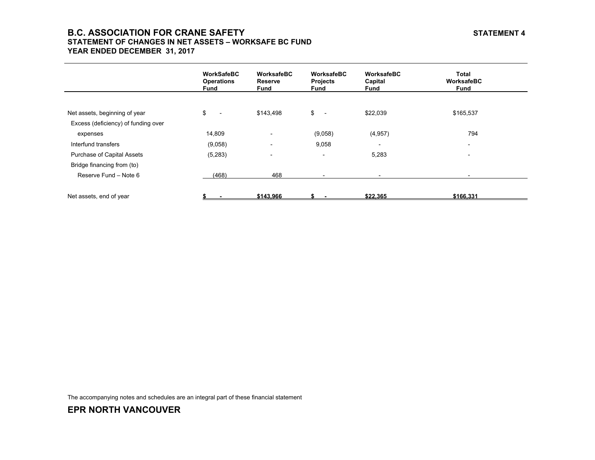# **B.C. ASSOCIATION FOR CRANE SAFETY** STATEMENT 4 **STATEMENT OF CHANGES IN NET ASSETS – WORKSAFE BC FUND YEAR ENDED DECEMBER 31, 2017**

|                                     | <b>WorkSafeBC</b><br><b>Operations</b><br>Fund | WorksafeBC<br>Reserve<br>Fund | WorksafeBC<br><b>Projects</b><br>Fund | WorksafeBC<br>Capital<br>Fund | Total<br>WorksafeBC<br>Fund |
|-------------------------------------|------------------------------------------------|-------------------------------|---------------------------------------|-------------------------------|-----------------------------|
| Net assets, beginning of year       | \$<br>$\overline{\phantom{a}}$                 | \$143,498                     | \$<br>$\sim$                          | \$22,039                      | \$165,537                   |
| Excess (deficiency) of funding over |                                                |                               |                                       |                               |                             |
| expenses                            | 14,809                                         | $\overline{\phantom{0}}$      | (9,058)                               | (4, 957)                      | 794                         |
| Interfund transfers                 | (9,058)                                        | $\overline{\phantom{0}}$      | 9,058                                 | $\overline{\phantom{0}}$      | $\overline{\phantom{0}}$    |
| <b>Purchase of Capital Assets</b>   | (5,283)                                        |                               | $\overline{\phantom{a}}$              | 5,283                         |                             |
| Bridge financing from (to)          |                                                |                               |                                       |                               |                             |
| Reserve Fund - Note 6               | (468)                                          | 468                           |                                       |                               |                             |
| Net assets, end of year             |                                                | \$143.966                     |                                       | \$22.365                      | \$166.331                   |

The accompanying notes and schedules are an integral part of these financial statement

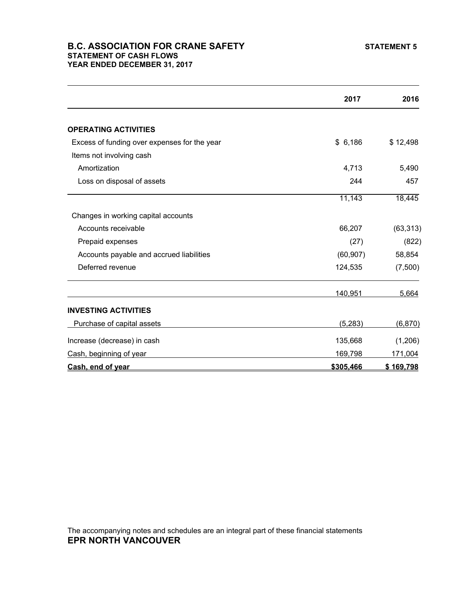# **B.C. ASSOCIATION FOR CRANE SAFETY** STATEMENT 5 **STATEMENT OF CASH FLOWS YEAR ENDED DECEMBER 31, 2017**

|                                              | 2017      | 2016      |
|----------------------------------------------|-----------|-----------|
| <b>OPERATING ACTIVITIES</b>                  |           |           |
| Excess of funding over expenses for the year | \$6,186   | \$12,498  |
| Items not involving cash                     |           |           |
| Amortization                                 | 4,713     | 5,490     |
| Loss on disposal of assets                   | 244       | 457       |
|                                              | 11,143    | 18,445    |
| Changes in working capital accounts          |           |           |
| Accounts receivable                          | 66,207    | (63, 313) |
| Prepaid expenses                             | (27)      | (822)     |
| Accounts payable and accrued liabilities     | (60, 907) | 58,854    |
| Deferred revenue                             | 124,535   | (7,500)   |
|                                              | 140,951   | 5,664     |
| <b>INVESTING ACTIVITIES</b>                  |           |           |
| Purchase of capital assets                   | (5,283)   | (6, 870)  |
| Increase (decrease) in cash                  | 135,668   | (1,206)   |
| Cash, beginning of year                      | 169,798   | 171,004   |
| Cash, end of year                            | \$305,466 | \$169,798 |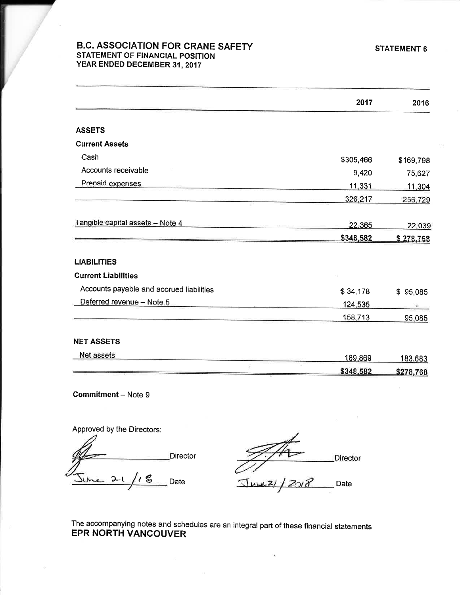**STATEMENT 6** 

# **B.C. ASSOCIATION FOR CRANE SAFETY STATEMENT OF FINANCIAL POSITION** YEAR ENDED DECEMBER 31, 2017

|                                          | 2017      | 2016      |
|------------------------------------------|-----------|-----------|
| <b>ASSETS</b>                            |           |           |
| <b>Current Assets</b>                    |           |           |
| Cash                                     | \$305,466 | \$169,798 |
| Accounts receivable                      | 9,420     |           |
| Prepaid expenses                         |           | 75,627    |
|                                          | 11,331    | 11,304    |
|                                          | 326,217   | 256,729   |
| Tangible capital assets - Note 4         | 22,365    | 22,039    |
|                                          | \$348,582 | \$278,768 |
| <b>LIABILITIES</b>                       |           |           |
| <b>Current Liabilities</b>               |           |           |
| Accounts payable and accrued liabilities | \$34,178  | \$95,085  |
| Deferred revenue - Note 5                | 124,535   |           |
|                                          | 158,713   | 95,085    |
| <b>NET ASSETS</b>                        |           |           |
| Net assets                               | 189,869   | 183,683   |
|                                          | \$348,582 | \$278,768 |
| <b>Commitment - Note 9</b>               |           |           |

Approved by the Directors:

Director  $1<sub>o</sub>$  $2\iota$ Date

Director  $21/2018$ Date

The accompanying notes and schedules are an integral part of these financial statements **EPR NORTH VANCOUVER**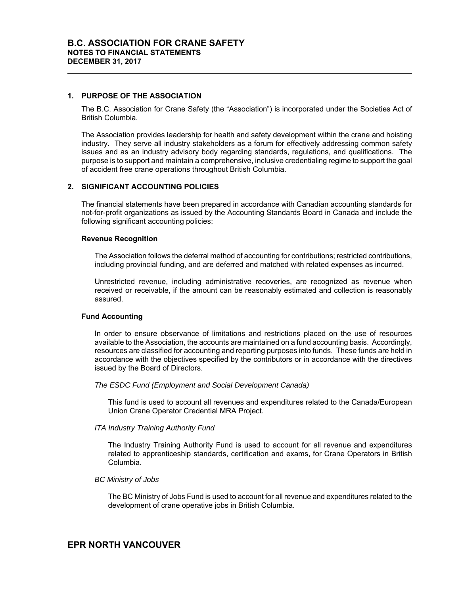### **1. PURPOSE OF THE ASSOCIATION**

The B.C. Association for Crane Safety (the "Association") is incorporated under the Societies Act of British Columbia.

The Association provides leadership for health and safety development within the crane and hoisting industry. They serve all industry stakeholders as a forum for effectively addressing common safety issues and as an industry advisory body regarding standards, regulations, and qualifications. The purpose is to support and maintain a comprehensive, inclusive credentialing regime to support the goal of accident free crane operations throughout British Columbia.

#### **2. SIGNIFICANT ACCOUNTING POLICIES**

The financial statements have been prepared in accordance with Canadian accounting standards for not-for-profit organizations as issued by the Accounting Standards Board in Canada and include the following significant accounting policies:

#### **Revenue Recognition**

The Association follows the deferral method of accounting for contributions; restricted contributions, including provincial funding, and are deferred and matched with related expenses as incurred.

Unrestricted revenue, including administrative recoveries, are recognized as revenue when received or receivable, if the amount can be reasonably estimated and collection is reasonably assured.

#### **Fund Accounting**

In order to ensure observance of limitations and restrictions placed on the use of resources available to the Association, the accounts are maintained on a fund accounting basis. Accordingly, resources are classified for accounting and reporting purposes into funds. These funds are held in accordance with the objectives specified by the contributors or in accordance with the directives issued by the Board of Directors.

#### *The ESDC Fund (Employment and Social Development Canada)*

This fund is used to account all revenues and expenditures related to the Canada/European Union Crane Operator Credential MRA Project.

#### *ITA Industry Training Authority Fund*

The Industry Training Authority Fund is used to account for all revenue and expenditures related to apprenticeship standards, certification and exams, for Crane Operators in British Columbia.

#### *BC Ministry of Jobs*

The BC Ministry of Jobs Fund is used to account for all revenue and expenditures related to the development of crane operative jobs in British Columbia.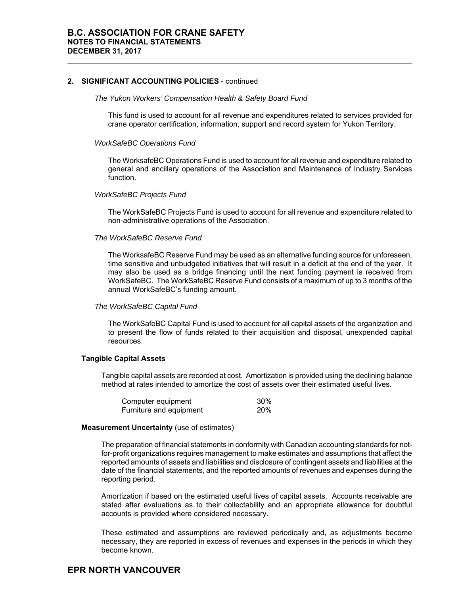#### **2. SIGNIFICANT ACCOUNTING POLICIES** - continued

#### *The Yukon Workers' Compensation Health & Safety Board Fund*

This fund is used to account for all revenue and expenditures related to services provided for crane operator certification, information, support and record system for Yukon Territory.

#### *WorkSafeBC Operations Fund*

The WorksafeBC Operations Fund is used to account for all revenue and expenditure related to general and ancillary operations of the Association and Maintenance of Industry Services function.

#### *WorkSafeBC Projects Fund*

The WorkSafeBC Projects Fund is used to account for all revenue and expenditure related to non-administrative operations of the Association.

#### *The WorkSafeBC Reserve Fund*

The WorksafeBC Reserve Fund may be used as an alternative funding source for unforeseen, time sensitive and unbudgeted initiatives that will result in a deficit at the end of the year. It may also be used as a bridge financing until the next funding payment is received from WorkSafeBC. The WorkSafeBC Reserve Fund consists of a maximum of up to 3 months of the annual WorkSafeBC's funding amount.

#### *The WorkSafeBC Capital Fund*

The WorkSafeBC Capital Fund is used to account for all capital assets of the organization and to present the flow of funds related to their acquisition and disposal, unexpended capital resources.

#### **Tangible Capital Assets**

Tangible capital assets are recorded at cost. Amortization is provided using the declining balance method at rates intended to amortize the cost of assets over their estimated useful lives.

| Computer equipment      | 30% |
|-------------------------|-----|
| Furniture and equipment | 20% |

#### **Measurement Uncertainty** (use of estimates)

The preparation of financial statements in conformity with Canadian accounting standards for notfor-profit organizations requires management to make estimates and assumptions that affect the reported amounts of assets and liabilities and disclosure of contingent assets and liabilities at the date of the financial statements, and the reported amounts of revenues and expenses during the reporting period.

Amortization if based on the estimated useful lives of capital assets. Accounts receivable are stated after evaluations as to their collectability and an appropriate allowance for doubtful accounts is provided where considered necessary.

These estimated and assumptions are reviewed periodically and, as adjustments become necessary, they are reported in excess of revenues and expenses in the periods in which they become known.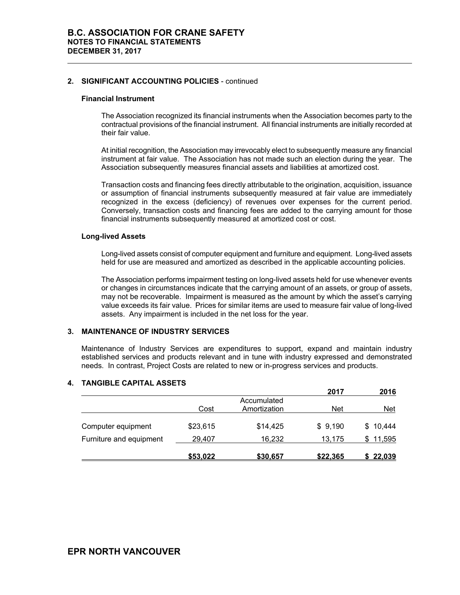#### **2. SIGNIFICANT ACCOUNTING POLICIES** - continued

#### **Financial Instrument**

The Association recognized its financial instruments when the Association becomes party to the contractual provisions of the financial instrument. All financial instruments are initially recorded at their fair value.

At initial recognition, the Association may irrevocably elect to subsequently measure any financial instrument at fair value. The Association has not made such an election during the year. The Association subsequently measures financial assets and liabilities at amortized cost.

Transaction costs and financing fees directly attributable to the origination, acquisition, issuance or assumption of financial instruments subsequently measured at fair value are immediately recognized in the excess (deficiency) of revenues over expenses for the current period. Conversely, transaction costs and financing fees are added to the carrying amount for those financial instruments subsequently measured at amortized cost or cost.

#### **Long-lived Assets**

Long-lived assets consist of computer equipment and furniture and equipment. Long-lived assets held for use are measured and amortized as described in the applicable accounting policies.

The Association performs impairment testing on long-lived assets held for use whenever events or changes in circumstances indicate that the carrying amount of an assets, or group of assets, may not be recoverable. Impairment is measured as the amount by which the asset's carrying value exceeds its fair value. Prices for similar items are used to measure fair value of long-lived assets. Any impairment is included in the net loss for the year.

#### **3. MAINTENANCE OF INDUSTRY SERVICES**

Maintenance of Industry Services are expenditures to support, expand and maintain industry established services and products relevant and in tune with industry expressed and demonstrated needs. In contrast, Project Costs are related to new or in-progress services and products.

|                         |          |              | 2017       | 2016          |
|-------------------------|----------|--------------|------------|---------------|
|                         |          | Accumulated  |            |               |
|                         | Cost     | Amortization | <b>Net</b> | <b>Net</b>    |
| Computer equipment      | \$23,615 | \$14,425     | \$9,190    | \$10,444      |
| Furniture and equipment | 29.407   | 16,232       | 13.175     | 11,595        |
|                         | \$53.022 | \$30,657     | \$22,365   | <u>22.039</u> |

#### **4. TANGIBLE CAPITAL ASSETS**